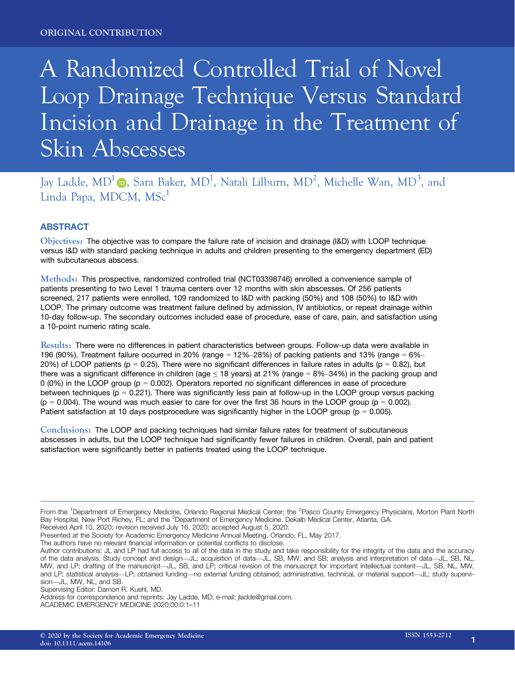# A Randomized Controlled Trial of Novel Loop Drainage Technique Versus Standard Incision and Drainage in the Treatment of Skin Abscesses

Jay Ladde, MD<sup>1</sup> (D, Sara Baker, MD<sup>1</sup>, Natali Lilburn, MD<sup>2</sup>, Michelle Wan, MD<sup>3</sup>, and Linda Papa, MDCM, MSc<sup>1</sup>

# **ABSTRACT**

Objectives: The objective was to compare the failure rate of incision and drainage (I&D) with LOOP technique versus I&D with standard packing technique in adults and children presenting to the emergency department (ED) with subcutaneous abscess.

Methods: This prospective, randomized controlled trial (NCT03398746) enrolled a convenience sample of patients presenting to two Level 1 trauma centers over 12 months with skin abscesses. Of 256 patients screened, 217 patients were enrolled, 109 randomized to I&D with packing (50%) and 108 (50%) to I&D with LOOP. The primary outcome was treatment failure defined by admission, IV antibiotics, or repeat drainage within 10-day follow-up. The secondary outcomes included ease of procedure, ease of care, pain, and satisfaction using a 10-point numeric rating scale.

Results: There were no differences in patient characteristics between groups. Follow-up data were available in 196 (90%). Treatment failure occurred in 20% (range = 12%–28%) of packing patients and 13% (range = 6%– 20%) of LOOP patients ( $p = 0.25$ ). There were no significant differences in failure rates in adults ( $p = 0.82$ ), but there was a significant difference in children (age  $\leq$  18 years) at 21% (range = 8%–34%) in the packing group and 0 (0%) in the LOOP group ( $p = 0.002$ ). Operators reported no significant differences in ease of procedure between techniques ( $p = 0.221$ ). There was significantly less pain at follow-up in the LOOP group versus packing  $(p = 0.004)$ . The wound was much easier to care for over the first 36 hours in the LOOP group ( $p = 0.002$ ). Patient satisfaction at 10 days postprocedure was significantly higher in the LOOP group ( $p = 0.005$ ).

Conclusions: The LOOP and packing techniques had similar failure rates for treatment of subcutaneous abscesses in adults, but the LOOP technique had significantly fewer failures in children. Overall, pain and patient satisfaction were significantly better in patients treated using the LOOP technique.

Presented at the Society for Academic Emergency Medicine Annual Meeting, Orlando, FL, May 2017.

The authors have no relevant financial information or potential conflicts to disclose.

Author contributions: JL and LP had full access to all of the data in the study and take responsibility for the integrity of the data and the accuracy of the data analysis. Study concept and design—JL; acquisition of data—JL, SB, MW, and SB; analysis and interpretation of data—JL, SB, NL, MW, and LP; drafting of the manuscript—JL, SB, and LP; critical revision of the manuscript for important intellectual content—JL, SB, NL, MW, and LP; statistical analysis—LP; obtained funding—no external funding obtained; administrative, technical, or material support—JL; study supervision—JL, MW, NL, and SB.

Supervising Editor: Damon R. Kuehl, MD.

Address for correspondence and reprints: Jay Ladde, MD; e-mail: [jladde@gmail.com.](mailto:)

ACADEMIC EMERGENCY MEDICINE 2020;00:0:1–11

From the <sup>1</sup>Department of Emergency Medicine, Orlando Regional Medical Center; the <sup>2</sup>Pasco County Emergency Physicians, Morton Plant North Bay Hospital, New Port Richey, FL; and the <sup>3</sup>Department of Emergency Medicine, Dekalb Medical Center, Atlanta, GA. Received April 10, 2020; revision received July 16, 2020; accepted August 5, 2020.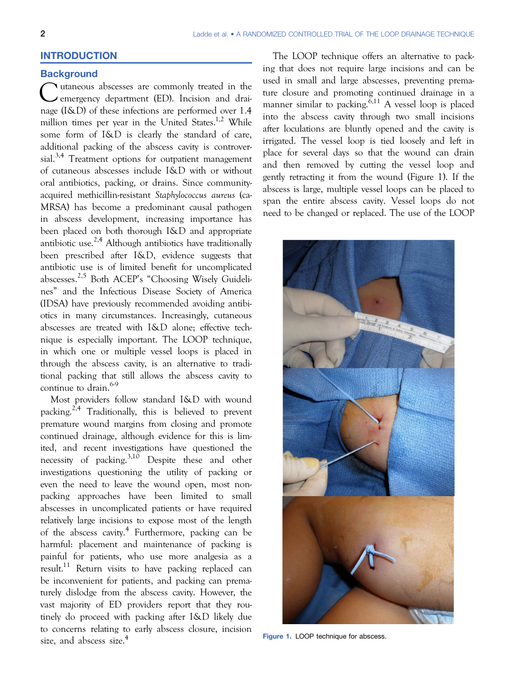# INTRODUCTION

## **Background**

 $\sum$  utaneous abscesses are commonly treated in the emergency department (ED). Incision and drainage (I&D) of these infections are performed over 1.4 million times per year in the United States.<sup>1,2</sup> While some form of I&D is clearly the standard of care, additional packing of the abscess cavity is controversial.<sup>3,4</sup> Treatment options for outpatient management of cutaneous abscesses include I&D with or without oral antibiotics, packing, or drains. Since communityacquired methicillin-resistant Staphylococcus aureus (ca-MRSA) has become a predominant causal pathogen in abscess development, increasing importance has been placed on both thorough I&D and appropriate antibiotic use.<sup>2,4</sup> Although antibiotics have traditionally been prescribed after I&D, evidence suggests that antibiotic use is of limited benefit for uncomplicated abscesses.2,5 Both ACEP's "Choosing Wisely Guidelines" and the Infectious Disease Society of America (IDSA) have previously recommended avoiding antibiotics in many circumstances. Increasingly, cutaneous abscesses are treated with I&D alone; effective technique is especially important. The LOOP technique, in which one or multiple vessel loops is placed in through the abscess cavity, is an alternative to traditional packing that still allows the abscess cavity to continue to drain.<sup>6-9</sup>

Most providers follow standard I&D with wound packing.<sup>2,4</sup> Traditionally, this is believed to prevent premature wound margins from closing and promote continued drainage, although evidence for this is limited, and recent investigations have questioned the necessity of packing.<sup>3,10</sup> Despite these and other investigations questioning the utility of packing or even the need to leave the wound open, most nonpacking approaches have been limited to small abscesses in uncomplicated patients or have required relatively large incisions to expose most of the length of the abscess cavity.<sup>4</sup> Furthermore, packing can be harmful: placement and maintenance of packing is painful for patients, who use more analgesia as a result.<sup>11</sup> Return visits to have packing replaced can be inconvenient for patients, and packing can prematurely dislodge from the abscess cavity. However, the vast majority of ED providers report that they routinely do proceed with packing after I&D likely due to concerns relating to early abscess closure, incision size, and abscess size.<sup>4</sup>

The LOOP technique offers an alternative to packing that does not require large incisions and can be used in small and large abscesses, preventing premature closure and promoting continued drainage in a manner similar to packing.<sup>6,11</sup> A vessel loop is placed into the abscess cavity through two small incisions after loculations are bluntly opened and the cavity is irrigated. The vessel loop is tied loosely and left in place for several days so that the wound can drain and then removed by cutting the vessel loop and gently retracting it from the wound (Figure 1). If the abscess is large, multiple vessel loops can be placed to span the entire abscess cavity. Vessel loops do not need to be changed or replaced. The use of the LOOP



Figure 1. LOOP technique for abscess.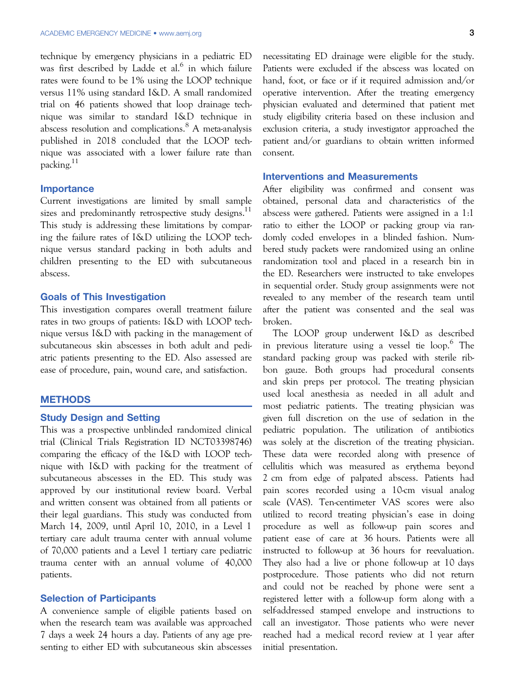technique by emergency physicians in a pediatric ED was first described by Ladde et al. $6$  in which failure rates were found to be 1% using the LOOP technique versus 11% using standard I&D. A small randomized trial on 46 patients showed that loop drainage technique was similar to standard I&D technique in abscess resolution and complications.<sup>8</sup> A meta-analysis published in 2018 concluded that the LOOP technique was associated with a lower failure rate than packing.11

#### Importance

Current investigations are limited by small sample sizes and predominantly retrospective study designs.<sup>11</sup> This study is addressing these limitations by comparing the failure rates of I&D utilizing the LOOP technique versus standard packing in both adults and children presenting to the ED with subcutaneous abscess.

## Goals of This Investigation

This investigation compares overall treatment failure rates in two groups of patients: I&D with LOOP technique versus I&D with packing in the management of subcutaneous skin abscesses in both adult and pediatric patients presenting to the ED. Also assessed are ease of procedure, pain, wound care, and satisfaction.

# **METHODS**

## Study Design and Setting

This was a prospective unblinded randomized clinical trial (Clinical Trials Registration ID NCT03398746) comparing the efficacy of the I&D with LOOP technique with I&D with packing for the treatment of subcutaneous abscesses in the ED. This study was approved by our institutional review board. Verbal and written consent was obtained from all patients or their legal guardians. This study was conducted from March 14, 2009, until April 10, 2010, in a Level 1 tertiary care adult trauma center with annual volume of 70,000 patients and a Level 1 tertiary care pediatric trauma center with an annual volume of 40,000 patients.

# Selection of Participants

A convenience sample of eligible patients based on when the research team was available was approached 7 days a week 24 hours a day. Patients of any age presenting to either ED with subcutaneous skin abscesses necessitating ED drainage were eligible for the study. Patients were excluded if the abscess was located on hand, foot, or face or if it required admission and/or operative intervention. After the treating emergency physician evaluated and determined that patient met study eligibility criteria based on these inclusion and exclusion criteria, a study investigator approached the patient and/or guardians to obtain written informed consent.

### Interventions and Measurements

After eligibility was confirmed and consent was obtained, personal data and characteristics of the abscess were gathered. Patients were assigned in a 1:1 ratio to either the LOOP or packing group via randomly coded envelopes in a blinded fashion. Numbered study packets were randomized using an online randomization tool and placed in a research bin in the ED. Researchers were instructed to take envelopes in sequential order. Study group assignments were not revealed to any member of the research team until after the patient was consented and the seal was broken.

The LOOP group underwent I&D as described in previous literature using a vessel tie  $loop.^6$ . The standard packing group was packed with sterile ribbon gauze. Both groups had procedural consents and skin preps per protocol. The treating physician used local anesthesia as needed in all adult and most pediatric patients. The treating physician was given full discretion on the use of sedation in the pediatric population. The utilization of antibiotics was solely at the discretion of the treating physician. These data were recorded along with presence of cellulitis which was measured as erythema beyond 2 cm from edge of palpated abscess. Patients had pain scores recorded using a 10-cm visual analog scale (VAS). Ten-centimeter VAS scores were also utilized to record treating physician's ease in doing procedure as well as follow-up pain scores and patient ease of care at 36 hours. Patients were all instructed to follow-up at 36 hours for reevaluation. They also had a live or phone follow-up at 10 days postprocedure. Those patients who did not return and could not be reached by phone were sent a registered letter with a follow-up form along with a self-addressed stamped envelope and instructions to call an investigator. Those patients who were never reached had a medical record review at 1 year after initial presentation.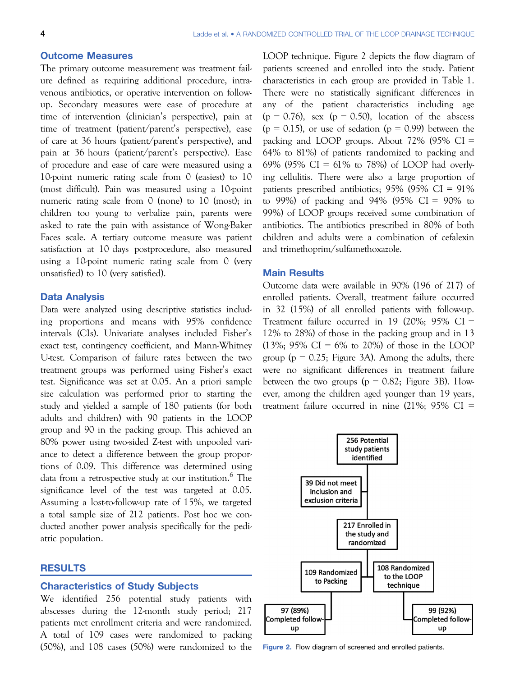## Outcome Measures

The primary outcome measurement was treatment failure defined as requiring additional procedure, intravenous antibiotics, or operative intervention on followup. Secondary measures were ease of procedure at time of intervention (clinician's perspective), pain at time of treatment (patient/parent's perspective), ease of care at 36 hours (patient/parent's perspective), and pain at 36 hours (patient/parent's perspective). Ease of procedure and ease of care were measured using a 10-point numeric rating scale from 0 (easiest) to 10 (most difficult). Pain was measured using a 10-point numeric rating scale from 0 (none) to 10 (most); in children too young to verbalize pain, parents were asked to rate the pain with assistance of Wong-Baker Faces scale. A tertiary outcome measure was patient satisfaction at 10 days postprocedure, also measured using a 10-point numeric rating scale from 0 (very unsatisfied) to 10 (very satisfied).

#### Data Analysis

Data were analyzed using descriptive statistics including proportions and means with 95% confidence intervals (CIs). Univariate analyses included Fisher's exact test, contingency coefficient, and Mann-Whitney U-test. Comparison of failure rates between the two treatment groups was performed using Fisher's exact test. Significance was set at 0.05. An a priori sample size calculation was performed prior to starting the study and yielded a sample of 180 patients (for both adults and children) with 90 patients in the LOOP group and 90 in the packing group. This achieved an 80% power using two-sided Z-test with unpooled variance to detect a difference between the group proportions of 0.09. This difference was determined using data from a retrospective study at our institution.<sup>6</sup> The significance level of the test was targeted at 0.05. Assuming a lost-to-follow-up rate of 15%, we targeted a total sample size of 212 patients. Post hoc we conducted another power analysis specifically for the pediatric population.

### RESULTS

# Characteristics of Study Subjects

We identified 256 potential study patients with abscesses during the 12-month study period; 217 patients met enrollment criteria and were randomized. A total of 109 cases were randomized to packing (50%), and 108 cases (50%) were randomized to the LOOP technique. Figure 2 depicts the flow diagram of patients screened and enrolled into the study. Patient characteristics in each group are provided in Table 1. There were no statistically significant differences in any of the patient characteristics including age  $(p = 0.76)$ , sex  $(p = 0.50)$ , location of the abscess  $(p = 0.15)$ , or use of sedation  $(p = 0.99)$  between the packing and LOOP groups. About 72% (95% CI = 64% to 81%) of patients randomized to packing and 69% (95% CI = 61% to 78%) of LOOP had overlying cellulitis. There were also a large proportion of patients prescribed antibiotics; 95% (95% CI = 91% to 99%) of packing and 94% (95% CI = 90% to 99%) of LOOP groups received some combination of antibiotics. The antibiotics prescribed in 80% of both children and adults were a combination of cefalexin and trimethoprim/sulfamethoxazole.

# Main Results

Outcome data were available in 90% (196 of 217) of enrolled patients. Overall, treatment failure occurred in 32 (15%) of all enrolled patients with follow-up. Treatment failure occurred in 19 (20%; 95% CI = 12% to 28%) of those in the packing group and in 13  $(13\%; 95\% \text{ CI} = 6\% \text{ to } 20\%)$  of those in the LOOP group ( $p = 0.25$ ; Figure 3A). Among the adults, there were no significant differences in treatment failure between the two groups ( $p = 0.82$ ; Figure 3B). However, among the children aged younger than 19 years, treatment failure occurred in nine (21%; 95% CI =



Figure 2. Flow diagram of screened and enrolled patients.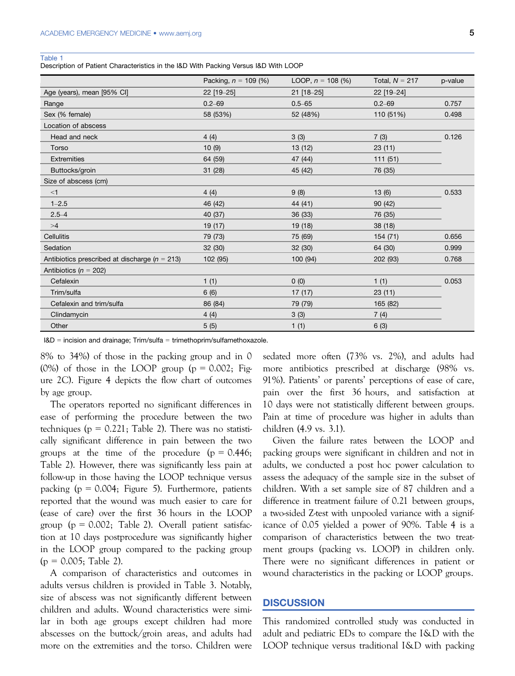Description of Patient Characteristics in the I&D With Packing Versus I&D With LOOP

|                                                   | Packing, $n = 109$ (%) | LOOP, $n = 108$ (%) | Total, $N = 217$ | p-value |
|---------------------------------------------------|------------------------|---------------------|------------------|---------|
| Age (years), mean [95% CI]                        | 22 [19-25]             | 21 [18-25]          | 22 [19-24]       |         |
| Range                                             | $0.2 - 69$             | $0.5 - 65$          | $0.2 - 69$       | 0.757   |
| Sex (% female)                                    | 58 (53%)               | 52 (48%)            | 110 (51%)        | 0.498   |
| Location of abscess                               |                        |                     |                  |         |
| Head and neck                                     | 4(4)                   | 3(3)                | 7(3)             | 0.126   |
| Torso                                             | 10(9)                  | 13 (12)             | 23(11)           |         |
| Extremities                                       | 64 (59)                | 47 (44)             | 111(51)          |         |
| Buttocks/groin                                    | 31 (28)                | 45 (42)             | 76 (35)          |         |
| Size of abscess (cm)                              |                        |                     |                  |         |
| $<$ 1                                             | 4(4)                   | 9(8)                | 13(6)            | 0.533   |
| $1 - 2.5$                                         | 46 (42)                | 44 (41)             | 90 (42)          |         |
| $2.5 - 4$                                         | 40 (37)                | 36(33)              | 76 (35)          |         |
| >4                                                | 19 (17)                | 19 (18)             | 38 (18)          |         |
| Cellulitis                                        | 79 (73)                | 75 (69)             | 154 (71)         | 0.656   |
| Sedation                                          | 32(30)                 | 32(30)              | 64 (30)          | 0.999   |
| Antibiotics prescribed at discharge ( $n = 213$ ) | 102 (95)               | 100 (94)            | 202 (93)         | 0.768   |
| Antibiotics ( $n = 202$ )                         |                        |                     |                  |         |
| Cefalexin                                         | 1(1)                   | 0(0)                | 1(1)             | 0.053   |
| Trim/sulfa                                        | 6(6)                   | 17 (17)             | 23(11)           |         |
| Cefalexin and trim/sulfa                          | 86 (84)                | 79 (79)             | 165 (82)         |         |
| Clindamycin                                       | 4(4)                   | 3(3)                | 7(4)             |         |
| Other                                             | 5(5)                   | 1(1)                | 6(3)             |         |

I&D = incision and drainage; Trim/sulfa = trimethoprim/sulfamethoxazole.

8% to 34%) of those in the packing group and in 0 (0%) of those in the LOOP group ( $p = 0.002$ ; Figure 2C). Figure 4 depicts the flow chart of outcomes by age group.

The operators reported no significant differences in ease of performing the procedure between the two techniques ( $p = 0.221$ ; Table 2). There was no statistically significant difference in pain between the two groups at the time of the procedure  $(p = 0.446;$ Table 2). However, there was significantly less pain at follow-up in those having the LOOP technique versus packing ( $p = 0.004$ ; Figure 5). Furthermore, patients reported that the wound was much easier to care for (ease of care) over the first 36 hours in the LOOP group ( $p = 0.002$ ; Table 2). Overall patient satisfaction at 10 days postprocedure was significantly higher in the LOOP group compared to the packing group  $(p = 0.005;$  Table 2).

A comparison of characteristics and outcomes in adults versus children is provided in Table 3. Notably, size of abscess was not significantly different between children and adults. Wound characteristics were similar in both age groups except children had more abscesses on the buttock/groin areas, and adults had more on the extremities and the torso. Children were sedated more often (73% vs. 2%), and adults had more antibiotics prescribed at discharge (98% vs. 91%). Patients' or parents' perceptions of ease of care, pain over the first 36 hours, and satisfaction at 10 days were not statistically different between groups. Pain at time of procedure was higher in adults than children (4.9 vs. 3.1).

Given the failure rates between the LOOP and packing groups were significant in children and not in adults, we conducted a post hoc power calculation to assess the adequacy of the sample size in the subset of children. With a set sample size of 87 children and a difference in treatment failure of 0.21 between groups, a two-sided Z-test with unpooled variance with a significance of 0.05 yielded a power of 90%. Table 4 is a comparison of characteristics between the two treatment groups (packing vs. LOOP) in children only. There were no significant differences in patient or wound characteristics in the packing or LOOP groups.

### **DISCUSSION**

This randomized controlled study was conducted in adult and pediatric EDs to compare the I&D with the LOOP technique versus traditional I&D with packing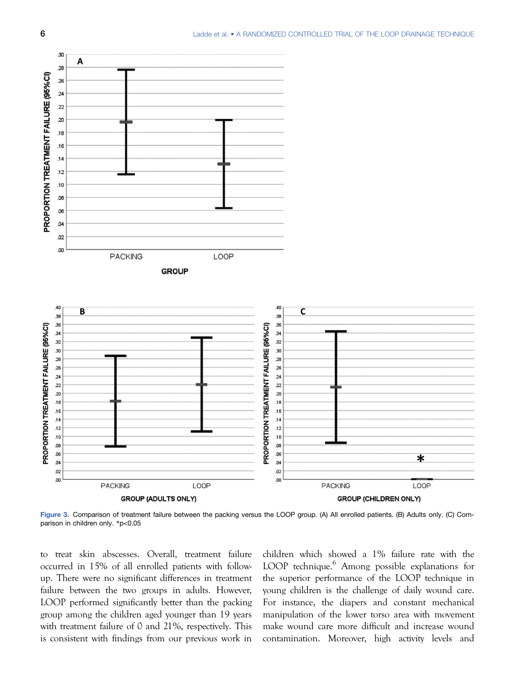

Figure 3. Comparison of treatment failure between the packing versus the LOOP group. (A) All enrolled patients. (B) Adults only. (C) Comparison in children only. \*p<0.05

to treat skin abscesses. Overall, treatment failure occurred in 15% of all enrolled patients with followup. There were no significant differences in treatment failure between the two groups in adults. However, LOOP performed significantly better than the packing group among the children aged younger than 19 years with treatment failure of 0 and 21%, respectively. This is consistent with findings from our previous work in

children which showed a 1% failure rate with the LOOP technique.<sup>6</sup> Among possible explanations for the superior performance of the LOOP technique in young children is the challenge of daily wound care. For instance, the diapers and constant mechanical manipulation of the lower torso area with movement make wound care more difficult and increase wound contamination. Moreover, high activity levels and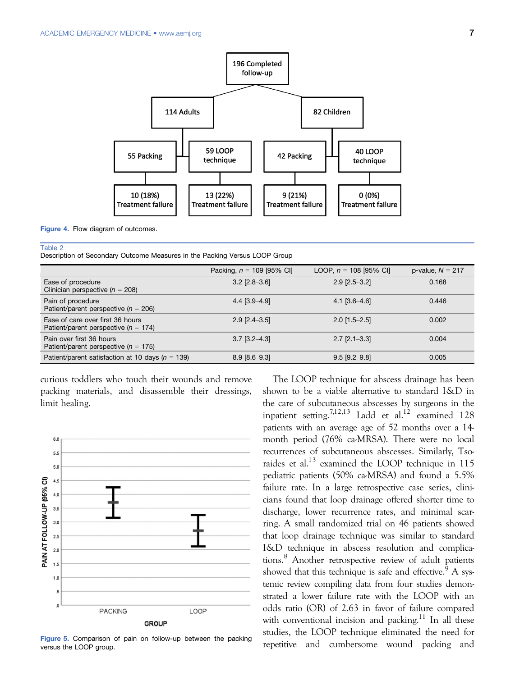

Figure 4. Flow diagram of outcomes.

Description of Secondary Outcome Measures in the Packing Versus LOOP Group

|                                                                            | Packing, $n = 109$ [95% CI] | LOOP, $n = 108$ [95% CI] | p-value, $N = 217$ |
|----------------------------------------------------------------------------|-----------------------------|--------------------------|--------------------|
| Ease of procedure<br>Clinician perspective ( $n = 208$ )                   | $3.2$ [ $2.8 - 3.6$ ]       | $2.9$ [ $2.5 - 3.2$ ]    | 0.168              |
| Pain of procedure<br>Patient/parent perspective ( $n = 206$ )              | $4.4$ [3.9-4.9]             | $4.1$ [3.6–4.6]          | 0.446              |
| Ease of care over first 36 hours<br>Patient/parent perspective $(n = 174)$ | $2.9$ [ $2.4 - 3.5$ ]       | $2.0$ [1.5-2.5]          | 0.002              |
| Pain over first 36 hours<br>Patient/parent perspective ( $n = 175$ )       | $3.7$ [ $3.2 - 4.3$ ]       | $2.7$ [ $2.1 - 3.3$ ]    | 0.004              |
| Patient/parent satisfaction at 10 days ( $n = 139$ )                       | $8.9$ [ $8.6 - 9.3$ ]       | $9.5$ [9.2-9.8]          | 0.005              |

curious toddlers who touch their wounds and remove packing materials, and disassemble their dressings, limit healing.



Figure 5. Comparison of pain on follow-up between the packing versus the LOOP group.

The LOOP technique for abscess drainage has been shown to be a viable alternative to standard I&D in the care of subcutaneous abscesses by surgeons in the inpatient setting.<sup>7,12,13</sup> Ladd et al.<sup>12</sup> examined 128 patients with an average age of 52 months over a 14 month period (76% ca-MRSA). There were no local recurrences of subcutaneous abscesses. Similarly, Tsoraides et al. $^{13}$  examined the LOOP technique in 115 pediatric patients (50% ca-MRSA) and found a 5.5% failure rate. In a large retrospective case series, clinicians found that loop drainage offered shorter time to discharge, lower recurrence rates, and minimal scarring. A small randomized trial on 46 patients showed that loop drainage technique was similar to standard I&D technique in abscess resolution and complications.<sup>8</sup> Another retrospective review of adult patients showed that this technique is safe and effective.<sup>9</sup> A systemic review compiling data from four studies demonstrated a lower failure rate with the LOOP with an odds ratio (OR) of 2.63 in favor of failure compared with conventional incision and packing.<sup>11</sup> In all these studies, the LOOP technique eliminated the need for repetitive and cumbersome wound packing and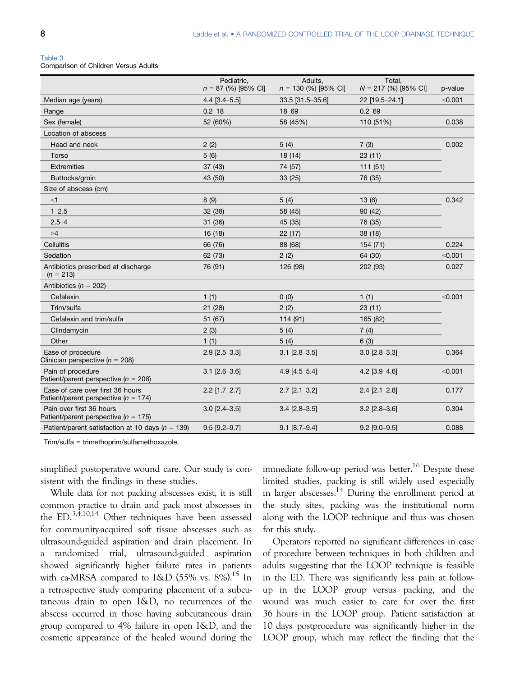Comparison of Children Versus Adults

|                                                                              | Pediatric,<br>$n = 87$ (%) [95% CI] | Adults.<br>$n = 130$ (%) [95% CI] | Total.<br>$N = 217$ (%) [95% CI] | p-value |
|------------------------------------------------------------------------------|-------------------------------------|-----------------------------------|----------------------------------|---------|
| Median age (years)                                                           | $4.4$ [3.4-5.5]                     | 33.5 [31.5-35.6]                  | 22 [19.5-24.1]                   | < 0.001 |
| Range                                                                        | $0.2 - 18$                          | 18-69                             | $0.2 - 69$                       |         |
| Sex (female)                                                                 | 52 (60%)                            | 58 (45%)                          | 110 (51%)                        | 0.038   |
| Location of abscess                                                          |                                     |                                   |                                  |         |
| Head and neck                                                                | 2(2)                                | 5(4)                              | 7(3)                             | 0.002   |
| Torso                                                                        | 5(6)                                | 18 (14)                           | 23(11)                           |         |
| <b>Extremities</b>                                                           | 37(43)                              | 74 (57)                           | 111(51)                          |         |
| Buttocks/groin                                                               | 43 (50)                             | 33 (25)                           | 76 (35)                          |         |
| Size of abscess (cm)                                                         |                                     |                                   |                                  |         |
| $<$ 1                                                                        | 8(9)                                | 5(4)                              | 13(6)                            | 0.342   |
| $1 - 2.5$                                                                    | 32 (38)                             | 58 (45)                           | 90 (42)                          |         |
| $2.5 - 4$                                                                    | 31 (36)                             | 45 (35)                           | 76 (35)                          |         |
| >4                                                                           | 16(18)                              | 22(17)                            | 38 (18)                          |         |
| Cellulitis                                                                   | 66 (76)                             | 88 (68)                           | 154 (71)                         | 0.224   |
| Sedation                                                                     | 62 (73)                             | 2(2)                              | 64 (30)                          | < 0.001 |
| Antibiotics prescribed at discharge<br>$(n = 213)$                           | 76 (91)                             | 126 (98)                          | 202 (93)                         | 0.027   |
| Antibiotics ( $n = 202$ )                                                    |                                     |                                   |                                  |         |
| Cefalexin                                                                    | 1(1)                                | 0(0)                              | 1(1)                             | < 0.001 |
| Trim/sulfa                                                                   | 21 (28)                             | 2(2)                              | 23(11)                           |         |
| Cefalexin and trim/sulfa                                                     | 51 (67)                             | 114 (91)                          | 165 (82)                         |         |
| Clindamycin                                                                  | 2(3)                                | 5(4)                              | 7(4)                             |         |
| Other                                                                        | 1(1)                                | 5(4)                              | 6(3)                             |         |
| Ease of procedure<br>Clinician perspective ( $n = 208$ )                     | $2.9$ [ $2.5 - 3.3$ ]               | $3.1$ [2.8-3.5]                   | $3.0$ [2.8-3.3]                  | 0.364   |
| Pain of procedure<br>Patient/parent perspective ( $n = 206$ )                | $3.1$ [2.6-3.6]                     | 4.9 [4.5-5.4]                     | 4.2 $[3.9 - 4.6]$                | < 0.001 |
| Ease of care over first 36 hours<br>Patient/parent perspective ( $n = 174$ ) | $2.2$ [1.7-2.7]                     | $2.7$ [ $2.1 - 3.2$ ]             | $2.4$ [ $2.1 - 2.8$ ]            | 0.177   |
| Pain over first 36 hours<br>Patient/parent perspective ( $n = 175$ )         | $3.0$ [2.4-3.5]                     | $3.4$ [2.8-3.5]                   | $3.2$ [2.8-3.6]                  | 0.304   |
| Patient/parent satisfaction at 10 days ( $n = 139$ )                         | $9.5$ [9.2-9.7]                     | $9.1$ [8.7-9.4]                   | $9.2$ [9.0-9.5]                  | 0.088   |

Trim/sulfa = trimethoprim/sulfamethoxazole.

simplified postoperative wound care. Our study is consistent with the findings in these studies.

While data for not packing abscesses exist, it is still common practice to drain and pack most abscesses in the ED.3,4,10,14 Other techniques have been assessed for community-acquired soft tissue abscesses such as ultrasound-guided aspiration and drain placement. In a randomized trial, ultrasound-guided aspiration showed significantly higher failure rates in patients with ca-MRSA compared to I&D (55% vs.  $8\%$ ).<sup>15</sup> In a retrospective study comparing placement of a subcutaneous drain to open I&D, no recurrences of the abscess occurred in those having subcutaneous drain group compared to 4% failure in open I&D, and the cosmetic appearance of the healed wound during the immediate follow-up period was better.<sup>16</sup> Despite these limited studies, packing is still widely used especially in larger abscesses.<sup>14</sup> During the enrollment period at the study sites, packing was the institutional norm along with the LOOP technique and thus was chosen for this study.

Operators reported no significant differences in ease of procedure between techniques in both children and adults suggesting that the LOOP technique is feasible in the ED. There was significantly less pain at followup in the LOOP group versus packing, and the wound was much easier to care for over the first 36 hours in the LOOP group. Patient satisfaction at 10 days postprocedure was significantly higher in the LOOP group, which may reflect the finding that the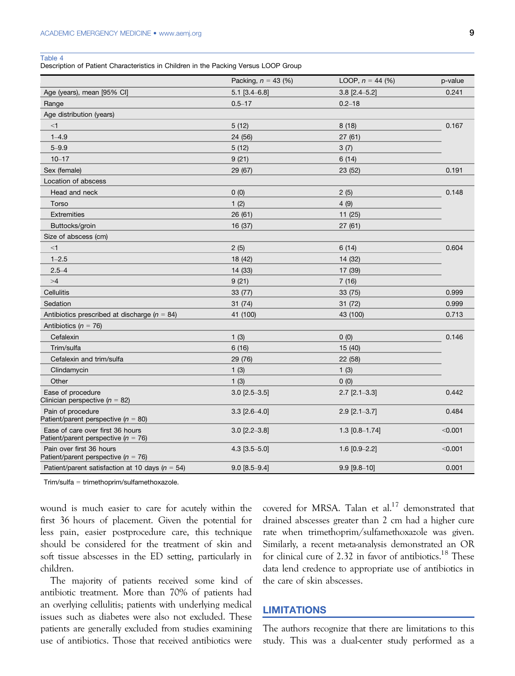Description of Patient Characteristics in Children in the Packing Versus LOOP Group

|                                                                             | Packing, $n = 43$ (%) | LOOP, $n = 44$ (%)    | p-value |  |
|-----------------------------------------------------------------------------|-----------------------|-----------------------|---------|--|
| Age (years), mean [95% CI]                                                  | $5.1$ [3.4-6.8]       | $3.8$ [2.4-5.2]       | 0.241   |  |
| Range                                                                       | $0.5 - 17$            | $0.2 - 18$            |         |  |
| Age distribution (years)                                                    |                       |                       |         |  |
| $<$ 1                                                                       | 5(12)                 | 8(18)                 | 0.167   |  |
| $1 - 4.9$                                                                   | 24 (56)               | 27(61)                |         |  |
| $5 - 9.9$                                                                   | 5(12)                 | 3(7)                  |         |  |
| $10 - 17$                                                                   | 9(21)                 | 6(14)                 |         |  |
| Sex (female)                                                                | 29 (67)               | 23 (52)               | 0.191   |  |
| Location of abscess                                                         |                       |                       |         |  |
| Head and neck                                                               | 0(0)                  | 2(5)                  | 0.148   |  |
| Torso                                                                       | 1(2)                  | 4(9)                  |         |  |
| Extremities                                                                 | 26(61)                | 11(25)                |         |  |
| Buttocks/groin                                                              | 16 (37)               | 27 (61)               |         |  |
| Size of abscess (cm)                                                        |                       |                       |         |  |
| $<$ 1                                                                       | 2(5)                  | 6(14)                 | 0.604   |  |
| $1 - 2.5$                                                                   | 18 (42)               | 14 (32)               |         |  |
| $2.5 - 4$                                                                   | 14 (33)               | 17 (39)               |         |  |
| >4                                                                          | 9(21)                 | 7(16)                 |         |  |
| Cellulitis                                                                  | 33(77)                | 33 (75)               | 0.999   |  |
| Sedation                                                                    | 31(74)                | 31(72)                | 0.999   |  |
| Antibiotics prescribed at discharge ( $n = 84$ )                            | 41 (100)              | 43 (100)              | 0.713   |  |
| Antibiotics ( $n = 76$ )                                                    |                       |                       |         |  |
| Cefalexin                                                                   | 1(3)                  | 0(0)                  | 0.146   |  |
| Trim/sulfa                                                                  | 6(16)                 | 15 (40)               |         |  |
| Cefalexin and trim/sulfa                                                    | 29 (76)               | 22 (58)               |         |  |
| Clindamycin                                                                 | 1(3)                  | 1(3)                  |         |  |
| Other                                                                       | 1(3)                  | 0(0)                  |         |  |
| Ease of procedure<br>Clinician perspective ( $n = 82$ )                     | $3.0$ [2.5-3.5]       | $2.7$ [ $2.1 - 3.3$ ] | 0.442   |  |
| Pain of procedure<br>Patient/parent perspective ( $n = 80$ )                | $3.3$ [2.6-4.0]       | $2.9$ [ $2.1 - 3.7$ ] | 0.484   |  |
| Ease of care over first 36 hours<br>Patient/parent perspective ( $n = 76$ ) | $3.0$ [2.2-3.8]       | $1.3$ [0.8-1.74]      | < 0.001 |  |
| Pain over first 36 hours<br>Patient/parent perspective ( $n = 76$ )         | $4.3$ [3.5-5.0]       | 1.6 $[0.9 - 2.2]$     | < 0.001 |  |
| Patient/parent satisfaction at 10 days ( $n = 54$ )                         | $9.0$ [8.5-9.4]       | $9.9$ [ $9.8 - 10$ ]  | 0.001   |  |

Trim/sulfa = trimethoprim/sulfamethoxazole.

wound is much easier to care for acutely within the first 36 hours of placement. Given the potential for less pain, easier postprocedure care, this technique should be considered for the treatment of skin and soft tissue abscesses in the ED setting, particularly in children.

The majority of patients received some kind of antibiotic treatment. More than 70% of patients had an overlying cellulitis; patients with underlying medical issues such as diabetes were also not excluded. These patients are generally excluded from studies examining use of antibiotics. Those that received antibiotics were

covered for MRSA. Talan et  $al$ <sup>17</sup> demonstrated that drained abscesses greater than 2 cm had a higher cure rate when trimethoprim/sulfamethoxazole was given. Similarly, a recent meta-analysis demonstrated an OR for clinical cure of  $2.32$  in favor of antibiotics.<sup>18</sup> These data lend credence to appropriate use of antibiotics in the care of skin abscesses.

# LIMITATIONS

The authors recognize that there are limitations to this study. This was a dual-center study performed as a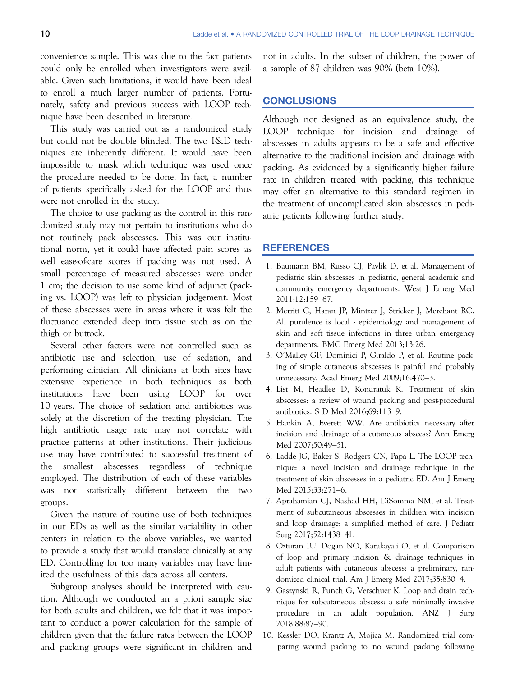convenience sample. This was due to the fact patients could only be enrolled when investigators were available. Given such limitations, it would have been ideal to enroll a much larger number of patients. Fortunately, safety and previous success with LOOP technique have been described in literature.

This study was carried out as a randomized study but could not be double blinded. The two I&D techniques are inherently different. It would have been impossible to mask which technique was used once the procedure needed to be done. In fact, a number of patients specifically asked for the LOOP and thus were not enrolled in the study.

The choice to use packing as the control in this randomized study may not pertain to institutions who do not routinely pack abscesses. This was our institutional norm, yet it could have affected pain scores as well ease-of-care scores if packing was not used. A small percentage of measured abscesses were under 1 cm; the decision to use some kind of adjunct (packing vs. LOOP) was left to physician judgement. Most of these abscesses were in areas where it was felt the fluctuance extended deep into tissue such as on the thigh or buttock.

Several other factors were not controlled such as antibiotic use and selection, use of sedation, and performing clinician. All clinicians at both sites have extensive experience in both techniques as both institutions have been using LOOP for over 10 years. The choice of sedation and antibiotics was solely at the discretion of the treating physician. The high antibiotic usage rate may not correlate with practice patterns at other institutions. Their judicious use may have contributed to successful treatment of the smallest abscesses regardless of technique employed. The distribution of each of these variables was not statistically different between the two groups.

Given the nature of routine use of both techniques in our EDs as well as the similar variability in other centers in relation to the above variables, we wanted to provide a study that would translate clinically at any ED. Controlling for too many variables may have limited the usefulness of this data across all centers.

Subgroup analyses should be interpreted with caution. Although we conducted an a priori sample size for both adults and children, we felt that it was important to conduct a power calculation for the sample of children given that the failure rates between the LOOP and packing groups were significant in children and

not in adults. In the subset of children, the power of a sample of 87 children was 90% (beta 10%).

# **CONCLUSIONS**

Although not designed as an equivalence study, the LOOP technique for incision and drainage of abscesses in adults appears to be a safe and effective alternative to the traditional incision and drainage with packing. As evidenced by a significantly higher failure rate in children treated with packing, this technique may offer an alternative to this standard regimen in the treatment of uncomplicated skin abscesses in pediatric patients following further study.

# **REFERENCES**

- 1. Baumann BM, Russo CJ, Pavlik D, et al. Management of pediatric skin abscesses in pediatric, general academic and community emergency departments. West J Emerg Med 2011;12:159–67.
- 2. Merritt C, Haran JP, Mintzer J, Stricker J, Merchant RC. All purulence is local - epidemiology and management of skin and soft tissue infections in three urban emergency departments. BMC Emerg Med 2013;13:26.
- 3. O'Malley GF, Dominici P, Giraldo P, et al. Routine packing of simple cutaneous abscesses is painful and probably unnecessary. Acad Emerg Med 2009;16:470–3.
- 4. List M, Headlee D, Kondratuk K. Treatment of skin abscesses: a review of wound packing and post-procedural antibiotics. S D Med 2016;69:113–9.
- 5. Hankin A, Everett WW. Are antibiotics necessary after incision and drainage of a cutaneous abscess? Ann Emerg Med 2007;50:49–51.
- 6. Ladde JG, Baker S, Rodgers CN, Papa L. The LOOP technique: a novel incision and drainage technique in the treatment of skin abscesses in a pediatric ED. Am J Emerg Med 2015;33:271–6.
- 7. Aprahamian CJ, Nashad HH, DiSomma NM, et al. Treatment of subcutaneous abscesses in children with incision and loop drainage: a simplified method of care. J Pediatr Surg 2017;52:1438–41.
- 8. Ozturan IU, Dogan NO, Karakayali O, et al. Comparison of loop and primary incision & drainage techniques in adult patients with cutaneous abscess: a preliminary, randomized clinical trial. Am J Emerg Med 2017;35:830–4.
- 9. Gaszynski R, Punch G, Verschuer K. Loop and drain technique for subcutaneous abscess: a safe minimally invasive procedure in an adult population. ANZ J Surg 2018;88:87–90.
- 10. Kessler DO, Krantz A, Mojica M. Randomized trial comparing wound packing to no wound packing following